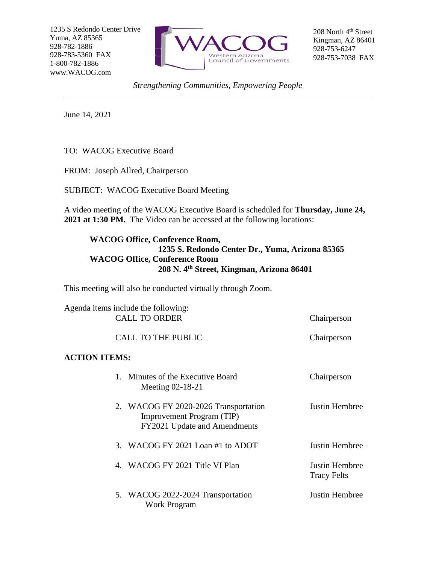1235 S Redondo Center Drive Yuma, AZ 85365 928-782-1886 928-783-5360 FAX 1-800-782-1886 www.WACOG.com



208 North 4<sup>th</sup> Street Kingman, AZ 86401 928-753-6247 928-753-7038 FAX

*Strengthening Communities, Empowering People*

June 14, 2021

TO: WACOG Executive Board

FROM: Joseph Allred, Chairperson

SUBJECT: WACOG Executive Board Meeting

A video meeting of the WACOG Executive Board is scheduled for **Thursday, June 24, 2021 at 1:30 PM.** The Video can be accessed at the following locations:

## **WACOG Office, Conference Room, 1235 S. Redondo Center Dr., Yuma, Arizona 85365 WACOG Office, Conference Room 208 N. 4th Street, Kingman, Arizona 86401**

This meeting will also be conducted virtually through Zoom.

|                      | Agenda items include the following:<br><b>CALL TO ORDER</b>                                              | Chairperson                                 |  |
|----------------------|----------------------------------------------------------------------------------------------------------|---------------------------------------------|--|
|                      | <b>CALL TO THE PUBLIC</b>                                                                                | Chairperson                                 |  |
| <b>ACTION ITEMS:</b> |                                                                                                          |                                             |  |
|                      | 1. Minutes of the Executive Board<br>Meeting 02-18-21                                                    | Chairperson                                 |  |
|                      | 2. WACOG FY 2020-2026 Transportation<br><b>Improvement Program (TIP)</b><br>FY2021 Update and Amendments | Justin Hembree                              |  |
|                      | 3. WACOG FY 2021 Loan #1 to ADOT                                                                         | Justin Hembree                              |  |
|                      | 4. WACOG FY 2021 Title VI Plan                                                                           | <b>Justin Hembree</b><br><b>Tracy Felts</b> |  |
|                      | 5. WACOG 2022-2024 Transportation<br><b>Work Program</b>                                                 | Justin Hembree                              |  |